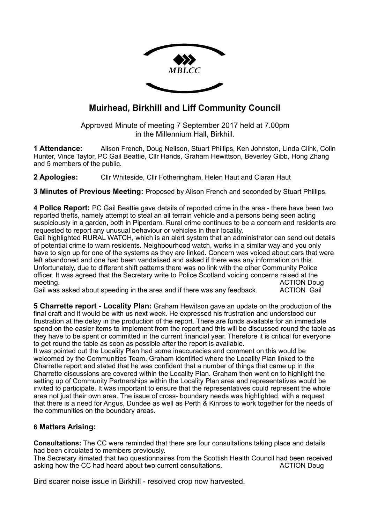

# **Muirhead, Birkhill and Liff Community Council**

Approved Minute of meeting 7 September 2017 held at 7.00pm in the Millennium Hall, Birkhill.

**1 Attendance:** Alison French, Doug Neilson, Stuart Phillips, Ken Johnston, Linda Clink, Colin Hunter, Vince Taylor, PC Gail Beattie, Cllr Hands, Graham Hewittson, Beverley Gibb, Hong Zhang and 5 members of the public.

**2 Apologies:** Cllr Whiteside, Cllr Fotheringham, Helen Haut and Ciaran Haut

**3 Minutes of Previous Meeting:** Proposed by Alison French and seconded by Stuart Phillips.

**4 Police Report:** PC Gail Beattie gave details of reported crime in the area - there have been two reported thefts, namely attempt to steal an all terrain vehicle and a persons being seen acting suspiciously in a garden, both in Piperdam. Rural crime continues to be a concern and residents are requested to report any unusual behaviour or vehicles in their locality.

Gail highlighted RURAL WATCH, which is an alert system that an administrator can send out details of potential crime to warn residents. Neighbourhood watch, works in a similar way and you only have to sign up for one of the systems as they are linked. Concern was voiced about cars that were left abandoned and one had been vandalised and asked if there was any information on this. Unfortunately, due to different shift patterns there was no link with the other Community Police officer. It was agreed that the Secretary write to Police Scotland voicing concerns raised at the meeting. ACTION Doug

Gail was asked about speeding in the area and if there was any feedback. ACTION Gail

**5 Charrette report - Locality Plan:** Graham Hewitson gave an update on the production of the final draft and it would be with us next week. He expressed his frustration and understood our frustration at the delay in the production of the report. There are funds available for an immediate spend on the easier items to implement from the report and this will be discussed round the table as they have to be spent or committed in the current financial year. Therefore it is critical for everyone to get round the table as soon as possible after the report is available.

It was pointed out the Locality Plan had some inaccuracies and comment on this would be welcomed by the Communities Team. Graham identified where the Locality Plan linked to the Charrette report and stated that he was confident that a number of things that came up in the Charrette discussions are covered within the Locality Plan. Graham then went on to highlight the setting up of Community Partnerships within the Locality Plan area and representatives would be invited to participate. It was important to ensure that the representatives could represent the whole area not just their own area. The issue of cross- boundary needs was highlighted, with a request that there is a need for Angus, Dundee as well as Perth & Kinross to work together for the needs of the communities on the boundary areas.

# **6 Matters Arising:**

**Consultations:** The CC were reminded that there are four consultations taking place and details had been circulated to members previously.

The Secretary itimated that two questionnaires from the Scottish Health Council had been received asking how the CC had heard about two current consultations. ACTION Doug

Bird scarer noise issue in Birkhill - resolved crop now harvested.